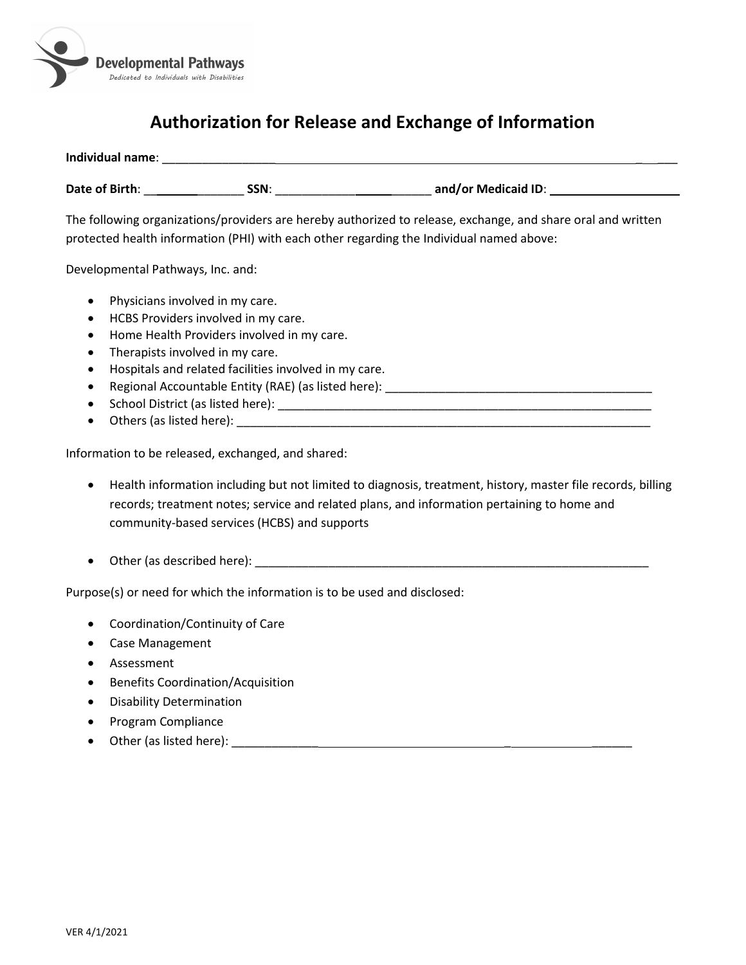

## **Authorization for Release and Exchange of Information**

| Individual name: |      |                     |
|------------------|------|---------------------|
| Date of Birth:   | SSN: | and/or Medicaid ID: |

The following organizations/providers are hereby authorized to release, exchange, and share oral and written protected health information (PHI) with each other regarding the Individual named above:

Developmental Pathways, Inc. and:

- Physicians involved in my care.
- HCBS Providers involved in my care.
- Home Health Providers involved in my care.
- Therapists involved in my care.
- Hospitals and related facilities involved in my care.
- Regional Accountable Entity (RAE) (as listed here): \_\_\_\_\_\_\_\_\_\_\_\_\_\_\_\_\_\_\_\_\_\_\_\_\_\_\_\_\_\_\_\_\_\_\_\_\_\_\_\_
- School District (as listed here): \_\_\_\_\_\_\_\_\_\_\_\_\_\_\_\_\_\_\_\_\_\_\_\_\_\_\_\_\_\_\_\_\_\_\_\_\_\_\_\_\_\_\_\_\_\_\_\_\_\_\_\_\_\_\_\_
- Others (as listed here): \_\_\_\_\_\_\_\_\_\_\_\_\_\_\_\_\_\_\_\_\_\_\_\_\_\_\_\_\_\_\_\_\_\_\_\_\_\_\_\_\_\_\_\_\_\_\_\_\_\_\_\_\_\_\_\_\_\_\_\_\_\_

Information to be released, exchanged, and shared:

- Health information including but not limited to diagnosis, treatment, history, master file records, billing records; treatment notes; service and related plans, and information pertaining to home and community-based services (HCBS) and supports
- Other (as described here): \_\_\_\_\_\_\_\_\_\_\_\_\_\_\_\_\_\_\_\_\_\_\_\_\_\_\_\_\_\_\_\_\_\_\_\_\_\_\_\_\_\_\_\_\_\_\_\_\_\_\_\_\_\_\_\_\_\_\_

Purpose(s) or need for which the information is to be used and disclosed:

- Coordination/Continuity of Care
- Case Management
- Assessment
- Benefits Coordination/Acquisition
- Disability Determination
- Program Compliance
- Other (as listed here):  $\frac{1}{2}$  and  $\frac{1}{2}$  and  $\frac{1}{2}$  and  $\frac{1}{2}$  and  $\frac{1}{2}$  and  $\frac{1}{2}$  and  $\frac{1}{2}$  and  $\frac{1}{2}$  and  $\frac{1}{2}$  and  $\frac{1}{2}$  and  $\frac{1}{2}$  and  $\frac{1}{2}$  and  $\frac{1}{2}$  and  $\frac{1}{2}$  and